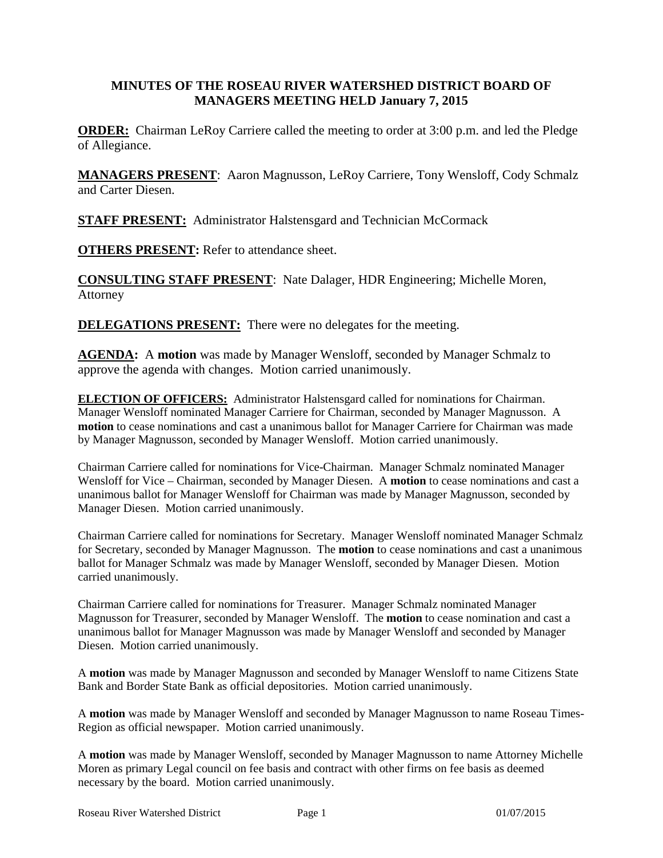#### **MINUTES OF THE ROSEAU RIVER WATERSHED DISTRICT BOARD OF MANAGERS MEETING HELD January 7, 2015**

**ORDER:** Chairman LeRoy Carriere called the meeting to order at 3:00 p.m. and led the Pledge of Allegiance.

**MANAGERS PRESENT**: Aaron Magnusson, LeRoy Carriere, Tony Wensloff, Cody Schmalz and Carter Diesen.

**STAFF PRESENT:** Administrator Halstensgard and Technician McCormack

**OTHERS PRESENT:** Refer to attendance sheet.

**CONSULTING STAFF PRESENT**: Nate Dalager, HDR Engineering; Michelle Moren, Attorney

**DELEGATIONS PRESENT:** There were no delegates for the meeting.

**AGENDA:** A **motion** was made by Manager Wensloff, seconded by Manager Schmalz to approve the agenda with changes. Motion carried unanimously.

**ELECTION OF OFFICERS:** Administrator Halstensgard called for nominations for Chairman. Manager Wensloff nominated Manager Carriere for Chairman, seconded by Manager Magnusson. A **motion** to cease nominations and cast a unanimous ballot for Manager Carriere for Chairman was made by Manager Magnusson, seconded by Manager Wensloff. Motion carried unanimously.

Chairman Carriere called for nominations for Vice-Chairman. Manager Schmalz nominated Manager Wensloff for Vice – Chairman, seconded by Manager Diesen. A **motion** to cease nominations and cast a unanimous ballot for Manager Wensloff for Chairman was made by Manager Magnusson, seconded by Manager Diesen. Motion carried unanimously.

Chairman Carriere called for nominations for Secretary. Manager Wensloff nominated Manager Schmalz for Secretary, seconded by Manager Magnusson. The **motion** to cease nominations and cast a unanimous ballot for Manager Schmalz was made by Manager Wensloff, seconded by Manager Diesen. Motion carried unanimously.

Chairman Carriere called for nominations for Treasurer. Manager Schmalz nominated Manager Magnusson for Treasurer, seconded by Manager Wensloff. The **motion** to cease nomination and cast a unanimous ballot for Manager Magnusson was made by Manager Wensloff and seconded by Manager Diesen. Motion carried unanimously.

A **motion** was made by Manager Magnusson and seconded by Manager Wensloff to name Citizens State Bank and Border State Bank as official depositories. Motion carried unanimously.

A **motion** was made by Manager Wensloff and seconded by Manager Magnusson to name Roseau Times-Region as official newspaper. Motion carried unanimously.

A **motion** was made by Manager Wensloff, seconded by Manager Magnusson to name Attorney Michelle Moren as primary Legal council on fee basis and contract with other firms on fee basis as deemed necessary by the board. Motion carried unanimously.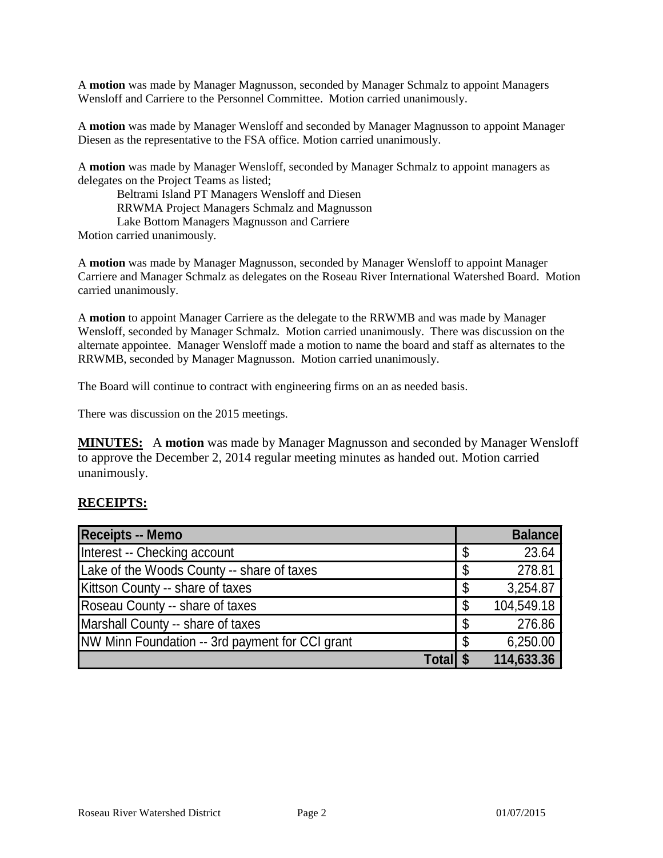A **motion** was made by Manager Magnusson, seconded by Manager Schmalz to appoint Managers Wensloff and Carriere to the Personnel Committee. Motion carried unanimously.

A **motion** was made by Manager Wensloff and seconded by Manager Magnusson to appoint Manager Diesen as the representative to the FSA office. Motion carried unanimously.

A **motion** was made by Manager Wensloff, seconded by Manager Schmalz to appoint managers as delegates on the Project Teams as listed;

Beltrami Island PT Managers Wensloff and Diesen RRWMA Project Managers Schmalz and Magnusson Lake Bottom Managers Magnusson and Carriere Motion carried unanimously.

A **motion** was made by Manager Magnusson, seconded by Manager Wensloff to appoint Manager Carriere and Manager Schmalz as delegates on the Roseau River International Watershed Board. Motion carried unanimously.

A **motion** to appoint Manager Carriere as the delegate to the RRWMB and was made by Manager Wensloff, seconded by Manager Schmalz. Motion carried unanimously. There was discussion on the alternate appointee. Manager Wensloff made a motion to name the board and staff as alternates to the RRWMB, seconded by Manager Magnusson. Motion carried unanimously.

The Board will continue to contract with engineering firms on an as needed basis.

There was discussion on the 2015 meetings.

**MINUTES:** A **motion** was made by Manager Magnusson and seconded by Manager Wensloff to approve the December 2, 2014 regular meeting minutes as handed out. Motion carried unanimously.

#### **RECEIPTS:**

| Receipts -- Memo                                |    | <b>Balance</b> |
|-------------------------------------------------|----|----------------|
| Interest -- Checking account                    | \$ | 23.64          |
| Lake of the Woods County -- share of taxes      | S  | 278.81         |
| Kittson County -- share of taxes                | \$ | 3,254.87       |
| Roseau County -- share of taxes                 | \$ | 104,549.18     |
| Marshall County -- share of taxes               | \$ | 276.86         |
| NW Minn Foundation -- 3rd payment for CCI grant | S  | 6,250.00       |
| <b>Totall \$</b>                                |    | 114,633.36     |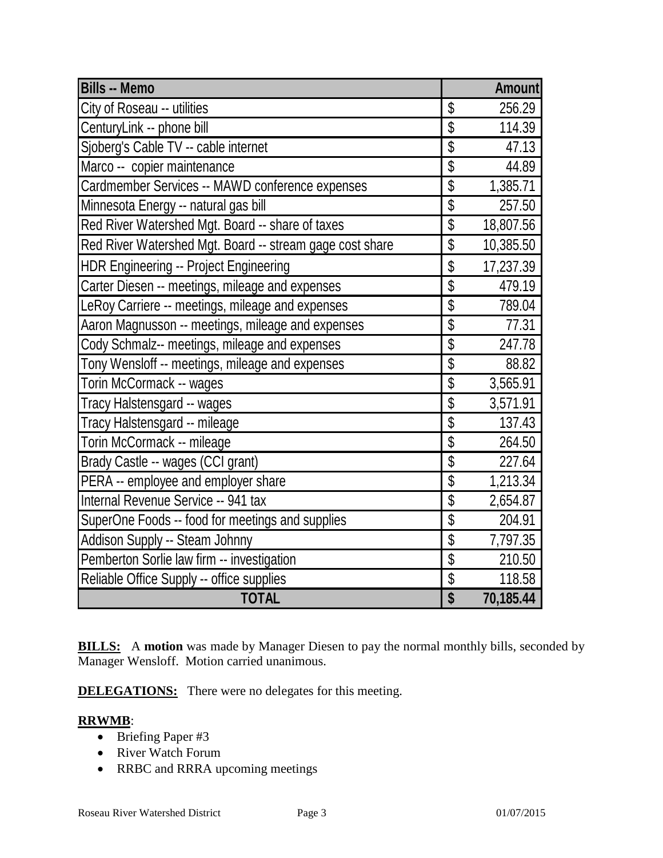| <b>Bills -- Memo</b>                                     |                                      | <b>Amount</b> |
|----------------------------------------------------------|--------------------------------------|---------------|
| City of Roseau -- utilities                              | \$                                   | 256.29        |
| CenturyLink -- phone bill                                | $\overline{\$}$                      | 114.39        |
| Sjoberg's Cable TV -- cable internet                     | $\overline{\$}$                      | 47.13         |
| Marco -- copier maintenance                              | $\overline{\$}$                      | 44.89         |
| Cardmember Services -- MAWD conference expenses          | $\overline{\$}$                      | 1,385.71      |
| Minnesota Energy -- natural gas bill                     | $\overline{\$}$                      | 257.50        |
| Red River Watershed Mgt. Board -- share of taxes         | \$                                   | 18,807.56     |
| Red River Watershed Mgt. Board -- stream gage cost share | \$                                   | 10,385.50     |
| <b>HDR Engineering -- Project Engineering</b>            | \$                                   | 17,237.39     |
| Carter Diesen -- meetings, mileage and expenses          | \$                                   | 479.19        |
| LeRoy Carriere -- meetings, mileage and expenses         | \$                                   | 789.04        |
| Aaron Magnusson -- meetings, mileage and expenses        | \$                                   | 77.31         |
| Cody Schmalz-- meetings, mileage and expenses            | \$                                   | 247.78        |
| Tony Wensloff -- meetings, mileage and expenses          | \$                                   | 88.82         |
| Torin McCormack -- wages                                 | $\overline{\$}$                      | 3,565.91      |
| Tracy Halstensgard -- wages                              | $\overline{\mathcal{S}}$             | 3,571.91      |
| Tracy Halstensgard -- mileage                            | \$                                   | 137.43        |
| Torin McCormack -- mileage                               | $\overline{\mathcal{S}}$             | 264.50        |
| Brady Castle -- wages (CCI grant)                        | \$                                   | 227.64        |
| PERA -- employee and employer share                      | $\overline{\mathcal{S}}$             | 1,213.34      |
| Internal Revenue Service -- 941 tax                      | $\overline{\mathcal{S}}$             | 2,654.87      |
| SuperOne Foods -- food for meetings and supplies         | $\overline{\$}$                      | 204.91        |
| Addison Supply -- Steam Johnny                           | \$                                   | 7,797.35      |
| Pemberton Sorlie law firm -- investigation               | \$                                   | 210.50        |
| Reliable Office Supply -- office supplies                | \$                                   | 118.58        |
| <b>TOTAL</b>                                             | $\overline{\boldsymbol{\mathsf{S}}}$ | 70,185.44     |

**BILLS:** A motion was made by Manager Diesen to pay the normal monthly bills, seconded by Manager Wensloff. Motion carried unanimous.

**DELEGATIONS:** There were no delegates for this meeting.

## **RRWMB**:

- Briefing Paper #3
- River Watch Forum
- RRBC and RRRA upcoming meetings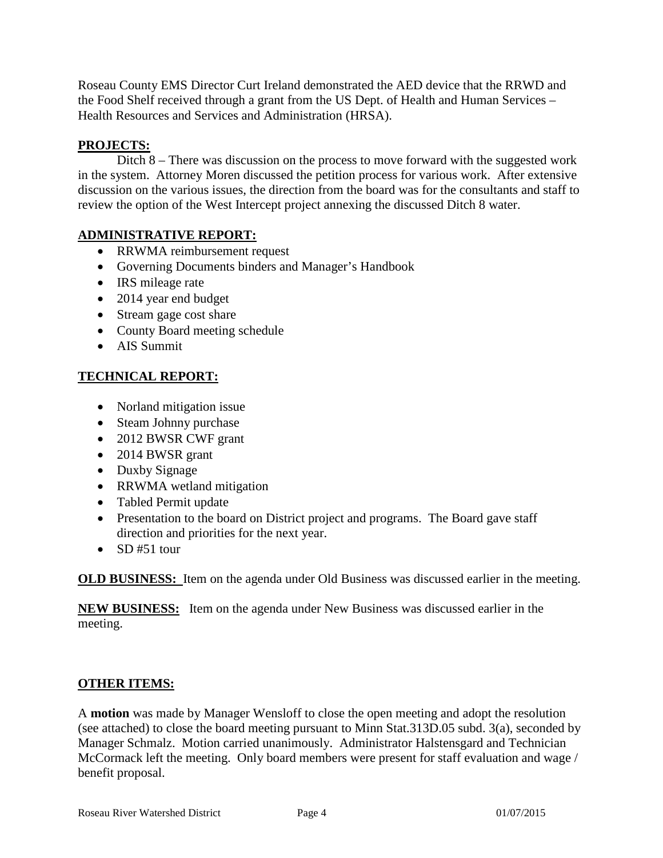Roseau County EMS Director Curt Ireland demonstrated the AED device that the RRWD and the Food Shelf received through a grant from the US Dept. of Health and Human Services – Health Resources and Services and Administration (HRSA).

# **PROJECTS:**

Ditch 8 – There was discussion on the process to move forward with the suggested work in the system. Attorney Moren discussed the petition process for various work. After extensive discussion on the various issues, the direction from the board was for the consultants and staff to review the option of the West Intercept project annexing the discussed Ditch 8 water.

## **ADMINISTRATIVE REPORT:**

- RRWMA reimbursement request
- Governing Documents binders and Manager's Handbook
- IRS mileage rate
- 2014 year end budget
- Stream gage cost share
- County Board meeting schedule
- AIS Summit

# **TECHNICAL REPORT:**

- Norland mitigation issue
- Steam Johnny purchase
- 2012 BWSR CWF grant
- 2014 BWSR grant
- Duxby Signage
- RRWMA wetland mitigation
- Tabled Permit update
- Presentation to the board on District project and programs. The Board gave staff direction and priorities for the next year.
- SD#51 tour

**OLD BUSINESS:** Item on the agenda under Old Business was discussed earlier in the meeting.

**NEW BUSINESS:** Item on the agenda under New Business was discussed earlier in the meeting.

## **OTHER ITEMS:**

A **motion** was made by Manager Wensloff to close the open meeting and adopt the resolution (see attached) to close the board meeting pursuant to Minn Stat.313D.05 subd. 3(a), seconded by Manager Schmalz. Motion carried unanimously. Administrator Halstensgard and Technician McCormack left the meeting. Only board members were present for staff evaluation and wage / benefit proposal.